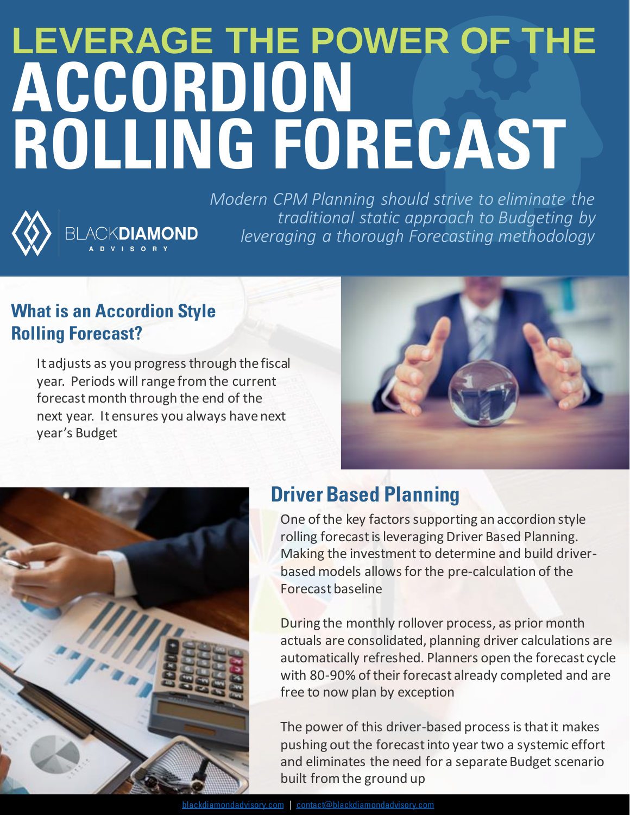# **LEVERAGE THE POWER OF THE ACCORDION ROLLING FORECAST**



*Modern CPM Planning should strive to eliminate the traditional static approach to Budgeting by leveraging a thorough Forecasting methodology*

#### **What is an Accordion Style Rolling Forecast?**

BLACKDIAMOND

It adjusts as you progress through the fiscal year. Periods will range from the current forecast month through the end of the next year. It ensures you always have next year's Budget





## **Driver Based Planning**

One of the key factors supporting an accordion style rolling forecast is leveraging Driver Based Planning. Making the investment to determine and build driverbased models allows for the pre-calculation of the Forecast baseline

During the monthly rollover process, as prior month actuals are consolidated, planning driver calculations are automatically refreshed. Planners open the forecast cycle with 80-90% of their forecast already completed and are free to now plan by exception

The power of this driver-based process is that it makes pushing out the forecast into year two a systemic effort and eliminates the need for a separate Budget scenario built from the ground up